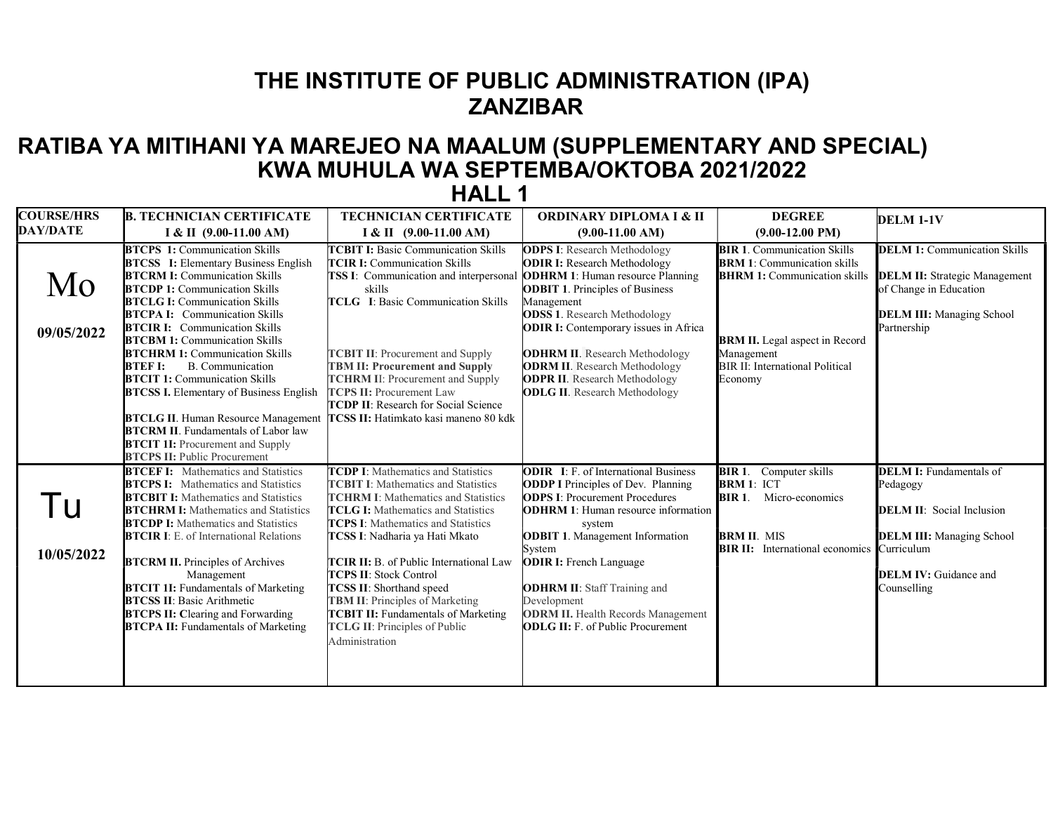## THE INSTITUTE OF PUBLIC ADMINISTRATION (IPA) **ZANZIBAR**

## RATIBA YA MITIHANI YA MAREJEO NA MAALUM (SUPPLEMENTARY AND SPECIAL) KWA MUHULA WA SEPTEMBA/OKTOBA 2021/2022

| <b>COURSE/HRS</b> | <b>B. TECHNICIAN CERTIFICATE</b>                                                                                                                                                                                                                                                                                                                                                                                                                                                                                                                                                                                                                                                                 | <b>TECHNICIAN CERTIFICATE</b>                                                                                                                                                                                                                                                                                                                                                                                                                                                                                                      | <b>ORDINARY DIPLOMA I &amp; II</b>                                                                                                                                                                                                                                                                                                                                                                                                    | <b>DEGREE</b>                                                                                                                                                                                                               | <b>DELM 1-1V</b>                                                                                                                                                                |
|-------------------|--------------------------------------------------------------------------------------------------------------------------------------------------------------------------------------------------------------------------------------------------------------------------------------------------------------------------------------------------------------------------------------------------------------------------------------------------------------------------------------------------------------------------------------------------------------------------------------------------------------------------------------------------------------------------------------------------|------------------------------------------------------------------------------------------------------------------------------------------------------------------------------------------------------------------------------------------------------------------------------------------------------------------------------------------------------------------------------------------------------------------------------------------------------------------------------------------------------------------------------------|---------------------------------------------------------------------------------------------------------------------------------------------------------------------------------------------------------------------------------------------------------------------------------------------------------------------------------------------------------------------------------------------------------------------------------------|-----------------------------------------------------------------------------------------------------------------------------------------------------------------------------------------------------------------------------|---------------------------------------------------------------------------------------------------------------------------------------------------------------------------------|
| <b>DAY/DATE</b>   | I & II $(9.00-11.00 \text{ AM})$                                                                                                                                                                                                                                                                                                                                                                                                                                                                                                                                                                                                                                                                 | $I & II$ (9.00-11.00 AM)                                                                                                                                                                                                                                                                                                                                                                                                                                                                                                           | $(9.00-11.00 AM)$                                                                                                                                                                                                                                                                                                                                                                                                                     | $(9.00-12.00$ PM)                                                                                                                                                                                                           |                                                                                                                                                                                 |
| Mo<br>09/05/2022  | <b>BTCPS 1:</b> Communication Skills<br><b>BTCSS</b> I: Elementary Business English<br><b>BTCRM I:</b> Communication Skills<br><b>BTCDP 1:</b> Communication Skills<br><b>BTCLG I: Communication Skills</b><br><b>BTCPA I:</b> Communication Skills<br><b>BTCIR I:</b> Communication Skills<br><b>BTCBM 1:</b> Communication Skills<br><b>BTCHRM 1: Communication Skills</b><br><b>BTEFI:</b><br><b>B.</b> Communication<br><b>BTCIT 1: Communication Skills</b><br><b>BTCSS I.</b> Elementary of Business English<br><b>BTCLG II.</b> Human Resource Management<br><b>BTCRM II.</b> Fundamentals of Labor law<br><b>BTCIT 1I:</b> Procurement and Supply<br><b>BTCPS II: Public Procurement</b> | <b>TCBIT I:</b> Basic Communication Skills<br><b>TCIR I:</b> Communication Skills<br>TSS I: Communication and interpersonal<br>skills<br><b>TCLG</b> I: Basic Communication Skills<br><b>TCBIT II:</b> Procurement and Supply<br><b>TBM II: Procurement and Supply</b><br><b>TCHRM II: Procurement and Supply</b><br><b>TCPS II: Procurement Law</b><br><b>TCDP II:</b> Research for Social Science<br>TCSS II: Hatimkato kasi maneno 80 kdk                                                                                       | <b>ODPS I:</b> Research Methodology<br><b>ODIR I:</b> Research Methodology<br><b>ODHRM 1:</b> Human resource Planning<br><b>ODBIT 1. Principles of Business</b><br>Management<br><b>ODSS 1.</b> Research Methodology<br><b>ODIR I:</b> Contemporary issues in Africa<br><b>ODHRM II.</b> Research Methodology<br><b>ODRM II.</b> Research Methodology<br><b>ODPR II.</b> Research Methodology<br><b>ODLG II.</b> Research Methodology | <b>BIR 1. Communication Skills</b><br><b>BRM 1:</b> Communication skills<br><b>BHRM 1:</b> Communication skills<br><b>BRM II.</b> Legal aspect in Record<br>Management<br><b>BIR II: International Political</b><br>Economy | <b>DELM 1:</b> Communication Skills<br><b>DELM II:</b> Strategic Management<br>of Change in Education<br><b>DELM III:</b> Managing School<br>Partnership                        |
| 10/05/2022        | <b>BTCEF I:</b> Mathematics and Statistics<br><b>BTCPS I:</b> Mathematics and Statistics<br><b>BTCBIT I:</b> Mathematics and Statistics<br><b>BTCHRM I:</b> Mathematics and Statistics<br><b>BTCDP I:</b> Mathematics and Statistics<br><b>BTCIR I:</b> E. of International Relations<br><b>BTCRM II.</b> Principles of Archives<br>Management<br><b>BTCIT 1I:</b> Fundamentals of Marketing<br><b>BTCSS II:</b> Basic Arithmetic<br><b>BTCPS II: Clearing and Forwarding</b><br><b>BTCPA II:</b> Fundamentals of Marketing                                                                                                                                                                      | <b>TCDP I:</b> Mathematics and Statistics<br><b>TCBIT I:</b> Mathematics and Statistics<br><b>TCHRM I:</b> Mathematics and Statistics<br><b>TCLG I:</b> Mathematics and Statistics<br><b>TCPS I:</b> Mathematics and Statistics<br>TCSS I: Nadharia ya Hati Mkato<br>TCIR II: B. of Public International Law<br><b>TCPS II: Stock Control</b><br><b>TCSS II:</b> Shorthand speed<br><b>TBM II:</b> Principles of Marketing<br><b>TCBIT II:</b> Fundamentals of Marketing<br><b>TCLG II: Principles of Public</b><br>Administration | <b>ODIR</b> I: F. of International Business<br><b>ODDP I</b> Principles of Dev. Planning<br><b>ODPS I:</b> Procurement Procedures<br><b>ODHRM 1:</b> Human resource information<br>system<br><b>ODBIT 1.</b> Management Information<br>System<br><b>ODIR I:</b> French Language<br><b>ODHRM II:</b> Staff Training and<br>Development<br><b>ODRM II.</b> Health Records Management<br><b>ODLG II:</b> F. of Public Procurement        | <b>BIR 1.</b> Computer skills<br><b>BRM 1: ICT</b><br><b>BIR 1.</b><br>Micro-economics<br><b>BRM II. MIS</b><br><b>BIR II:</b> International economics                                                                      | <b>DELM I:</b> Fundamentals of<br>Pedagogy<br><b>DELM II:</b> Social Inclusion<br><b>DELM III:</b> Managing School<br>Curriculum<br><b>DELM IV:</b> Guidance and<br>Counselling |

## HALL 1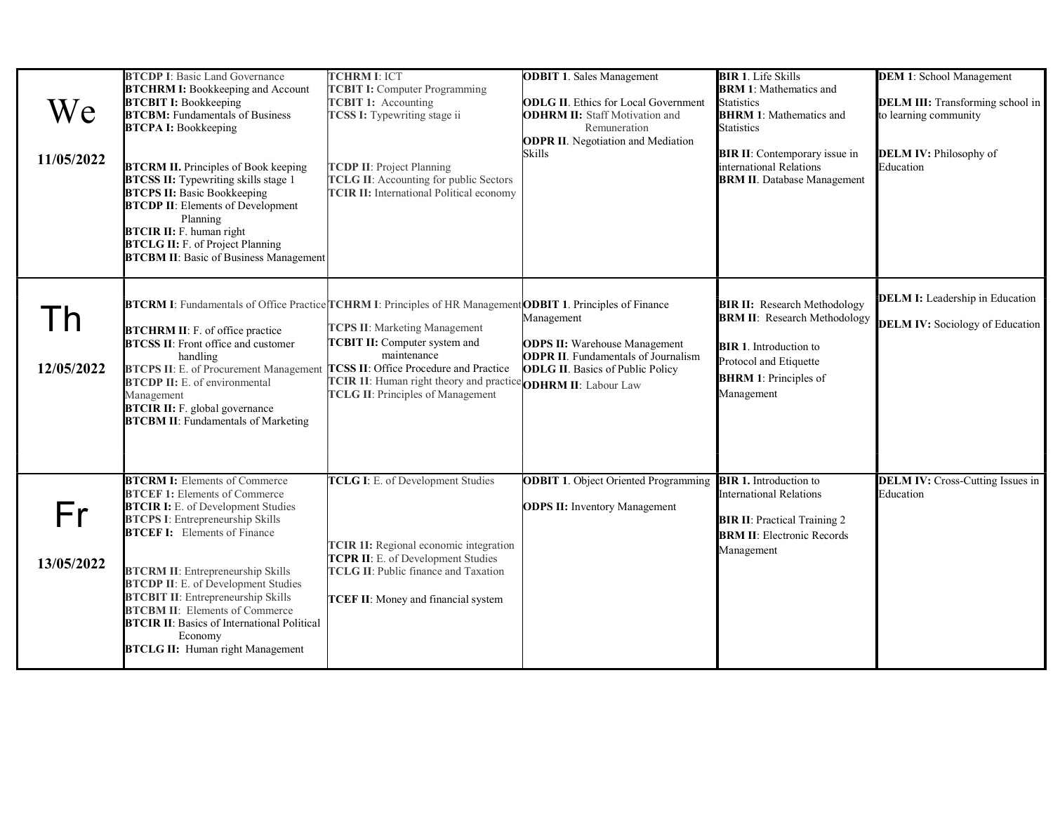| We<br>11/05/2022           | <b>BTCDP I: Basic Land Governance</b><br><b>BTCHRM I:</b> Bookkeeping and Account<br><b>BTCBIT I:</b> Bookkeeping<br><b>BTCBM:</b> Fundamentals of Business<br><b>BTCPA I:</b> Bookkeeping<br><b>BTCRM II.</b> Principles of Book keeping<br><b>BTCSS II:</b> Typewriting skills stage 1<br><b>BTCPS II:</b> Basic Bookkeeping<br><b>BTCDP II:</b> Elements of Development<br>Planning<br><b>BTCIR II:</b> F. human right<br><b>BTCLG II:</b> F. of Project Planning<br><b>BTCBM II:</b> Basic of Business Management | <b>TCHRM I: ICT</b><br><b>TCBIT I:</b> Computer Programming<br><b>TCBIT 1:</b> Accounting<br><b>TCSS I:</b> Typewriting stage ii<br><b>TCDP II: Project Planning</b><br><b>TCLG II:</b> Accounting for public Sectors<br><b>TCIR II:</b> International Political economy | <b>ODBIT 1. Sales Management</b><br><b>ODLG II.</b> Ethics for Local Government<br><b>ODHRM II:</b> Staff Motivation and<br>Remuneration<br><b>ODPR II.</b> Negotiation and Mediation<br>Skills | <b>BIR 1.</b> Life Skills<br><b>BRM 1: Mathematics and</b><br><b>Statistics</b><br><b>BHRM 1:</b> Mathematics and<br><b>Statistics</b><br><b>BIR II:</b> Contemporary issue in<br>international Relations<br><b>BRM II</b> . Database Management | <b>DEM 1: School Management</b><br><b>DELM III:</b> Transforming school in<br>to learning community<br>DELM IV: Philosophy of<br>Education |
|----------------------------|-----------------------------------------------------------------------------------------------------------------------------------------------------------------------------------------------------------------------------------------------------------------------------------------------------------------------------------------------------------------------------------------------------------------------------------------------------------------------------------------------------------------------|--------------------------------------------------------------------------------------------------------------------------------------------------------------------------------------------------------------------------------------------------------------------------|-------------------------------------------------------------------------------------------------------------------------------------------------------------------------------------------------|--------------------------------------------------------------------------------------------------------------------------------------------------------------------------------------------------------------------------------------------------|--------------------------------------------------------------------------------------------------------------------------------------------|
| $\mathsf{I}$<br>12/05/2022 | <b>BTCRM I:</b> Fundamentals of Office Practice TCHRM I: Principles of HR Management <b>ODBIT 1</b> . Principles of Finance<br><b>BTCHRM II: F. of office practice</b><br><b>BTCSS II:</b> Front office and customer<br>handling<br><b>BTCPS II: E. of Procurement Management</b><br><b>BTCDP II:</b> E. of environmental<br>Management<br><b>BTCIR II:</b> F. global governance<br><b>BTCBM II:</b> Fundamentals of Marketing                                                                                        | <b>TCPS II: Marketing Management</b><br><b>TCBIT II:</b> Computer system and<br>maintenance<br><b>TCSS II:</b> Office Procedure and Practice<br>TCIR 1I: Human right theory and practice ODHRM II: Labour Law<br><b>TCLG II: Principles of Management</b>                | Management<br><b>ODPS II:</b> Warehouse Management<br><b>ODPR II.</b> Fundamentals of Journalism<br><b>ODLG II.</b> Basics of Public Policy                                                     | <b>BIR II:</b> Research Methodology<br><b>BRM II: Research Methodology</b><br><b>BIR 1.</b> Introduction to<br>Protocol and Etiquette<br><b>BHRM 1: Principles of</b><br>Management                                                              | <b>DELM I:</b> Leadership in Education<br><b>DELM IV:</b> Sociology of Education                                                           |
| Fr<br>13/05/2022           | <b>BTCRM I:</b> Elements of Commerce<br><b>BTCEF 1: Elements of Commerce</b><br><b>BTCIR I:</b> E. of Development Studies<br><b>BTCPS I:</b> Entrepreneurship Skills<br><b>BTCEF I:</b> Elements of Finance<br><b>BTCRM II:</b> Entrepreneurship Skills<br><b>BTCDP II: E. of Development Studies</b><br><b>BTCBIT II:</b> Entrepreneurship Skills<br><b>BTCBM II:</b> Elements of Commerce<br><b>BTCIR II:</b> Basics of International Political<br>Economy<br><b>BTCLG II: Human right Management</b>               | TCLG I: E. of Development Studies<br>TCIR 1I: Regional economic integration<br>TCPR II: E. of Development Studies<br><b>TCLG II: Public finance and Taxation</b><br>TCEF II: Money and financial system                                                                  | <b>ODBIT 1.</b> Object Oriented Programming<br><b>ODPS II:</b> Inventory Management                                                                                                             | <b>BIR 1.</b> Introduction to<br><b>International Relations</b><br><b>BIR II:</b> Practical Training 2<br><b>BRM II:</b> Electronic Records<br>Management                                                                                        | <b>DELM IV:</b> Cross-Cutting Issues in<br>Education                                                                                       |